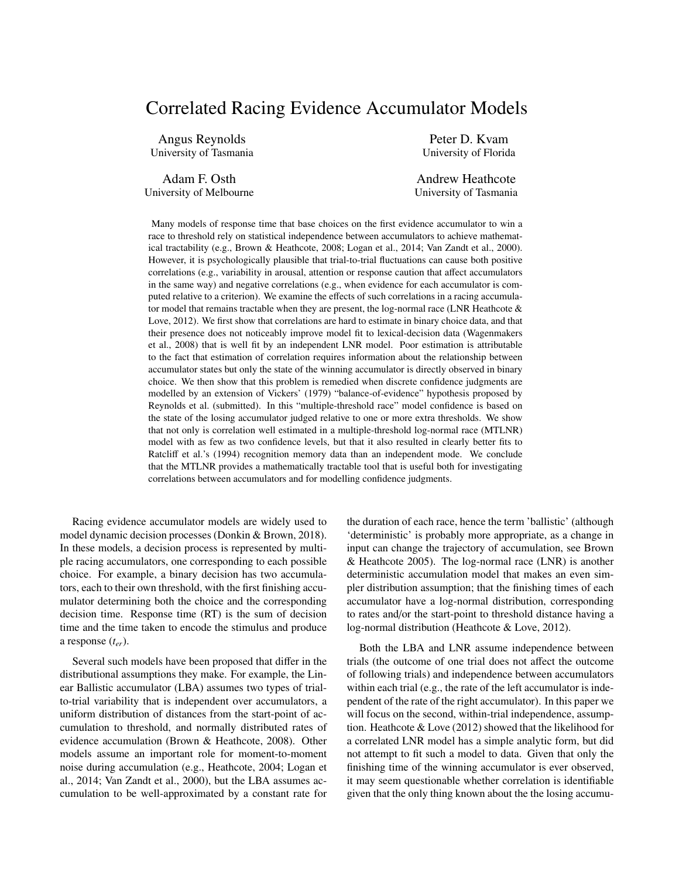# Correlated Racing Evidence Accumulator Models

Angus Reynolds University of Tasmania

Adam F. Osth University of Melbourne

Peter D. Kvam University of Florida

Andrew Heathcote University of Tasmania

Many models of response time that base choices on the first evidence accumulator to win a race to threshold rely on statistical independence between accumulators to achieve mathematical tractability (e.g., Brown & Heathcote, 2008; Logan et al., 2014; Van Zandt et al., 2000). However, it is psychologically plausible that trial-to-trial fluctuations can cause both positive correlations (e.g., variability in arousal, attention or response caution that affect accumulators in the same way) and negative correlations (e.g., when evidence for each accumulator is computed relative to a criterion). We examine the effects of such correlations in a racing accumulator model that remains tractable when they are present, the log-normal race (LNR Heathcote & Love, 2012). We first show that correlations are hard to estimate in binary choice data, and that their presence does not noticeably improve model fit to lexical-decision data (Wagenmakers et al., 2008) that is well fit by an independent LNR model. Poor estimation is attributable to the fact that estimation of correlation requires information about the relationship between accumulator states but only the state of the winning accumulator is directly observed in binary choice. We then show that this problem is remedied when discrete confidence judgments are modelled by an extension of Vickers' (1979) "balance-of-evidence" hypothesis proposed by Reynolds et al. (submitted). In this "multiple-threshold race" model confidence is based on the state of the losing accumulator judged relative to one or more extra thresholds. We show that not only is correlation well estimated in a multiple-threshold log-normal race (MTLNR) model with as few as two confidence levels, but that it also resulted in clearly better fits to Ratcliff et al.'s (1994) recognition memory data than an independent mode. We conclude that the MTLNR provides a mathematically tractable tool that is useful both for investigating correlations between accumulators and for modelling confidence judgments.

Racing evidence accumulator models are widely used to model dynamic decision processes (Donkin & Brown, 2018). In these models, a decision process is represented by multiple racing accumulators, one corresponding to each possible choice. For example, a binary decision has two accumulators, each to their own threshold, with the first finishing accumulator determining both the choice and the corresponding decision time. Response time (RT) is the sum of decision time and the time taken to encode the stimulus and produce a response (*ter*).

Several such models have been proposed that differ in the distributional assumptions they make. For example, the Linear Ballistic accumulator (LBA) assumes two types of trialto-trial variability that is independent over accumulators, a uniform distribution of distances from the start-point of accumulation to threshold, and normally distributed rates of evidence accumulation (Brown & Heathcote, 2008). Other models assume an important role for moment-to-moment noise during accumulation (e.g., Heathcote, 2004; Logan et al., 2014; Van Zandt et al., 2000), but the LBA assumes accumulation to be well-approximated by a constant rate for the duration of each race, hence the term 'ballistic' (although 'deterministic' is probably more appropriate, as a change in input can change the trajectory of accumulation, see Brown & Heathcote 2005). The log-normal race (LNR) is another deterministic accumulation model that makes an even simpler distribution assumption; that the finishing times of each accumulator have a log-normal distribution, corresponding to rates and/or the start-point to threshold distance having a log-normal distribution (Heathcote & Love, 2012).

Both the LBA and LNR assume independence between trials (the outcome of one trial does not affect the outcome of following trials) and independence between accumulators within each trial (e.g., the rate of the left accumulator is independent of the rate of the right accumulator). In this paper we will focus on the second, within-trial independence, assumption. Heathcote & Love (2012) showed that the likelihood for a correlated LNR model has a simple analytic form, but did not attempt to fit such a model to data. Given that only the finishing time of the winning accumulator is ever observed, it may seem questionable whether correlation is identifiable given that the only thing known about the the losing accumu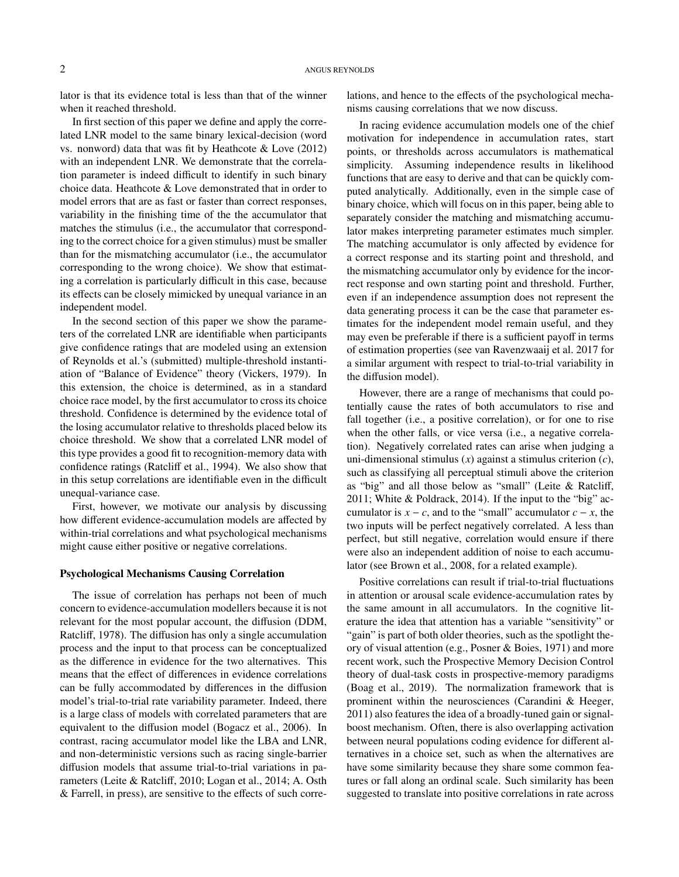lator is that its evidence total is less than that of the winner when it reached threshold.

In first section of this paper we define and apply the correlated LNR model to the same binary lexical-decision (word vs. nonword) data that was fit by Heathcote & Love (2012) with an independent LNR. We demonstrate that the correlation parameter is indeed difficult to identify in such binary choice data. Heathcote & Love demonstrated that in order to model errors that are as fast or faster than correct responses, variability in the finishing time of the the accumulator that matches the stimulus (i.e., the accumulator that corresponding to the correct choice for a given stimulus) must be smaller than for the mismatching accumulator (i.e., the accumulator corresponding to the wrong choice). We show that estimating a correlation is particularly difficult in this case, because its effects can be closely mimicked by unequal variance in an independent model.

In the second section of this paper we show the parameters of the correlated LNR are identifiable when participants give confidence ratings that are modeled using an extension of Reynolds et al.'s (submitted) multiple-threshold instantiation of "Balance of Evidence" theory (Vickers, 1979). In this extension, the choice is determined, as in a standard choice race model, by the first accumulator to cross its choice threshold. Confidence is determined by the evidence total of the losing accumulator relative to thresholds placed below its choice threshold. We show that a correlated LNR model of this type provides a good fit to recognition-memory data with confidence ratings (Ratcliff et al., 1994). We also show that in this setup correlations are identifiable even in the difficult unequal-variance case.

First, however, we motivate our analysis by discussing how different evidence-accumulation models are affected by within-trial correlations and what psychological mechanisms might cause either positive or negative correlations.

## Psychological Mechanisms Causing Correlation

The issue of correlation has perhaps not been of much concern to evidence-accumulation modellers because it is not relevant for the most popular account, the diffusion (DDM, Ratcliff, 1978). The diffusion has only a single accumulation process and the input to that process can be conceptualized as the difference in evidence for the two alternatives. This means that the effect of differences in evidence correlations can be fully accommodated by differences in the diffusion model's trial-to-trial rate variability parameter. Indeed, there is a large class of models with correlated parameters that are equivalent to the diffusion model (Bogacz et al., 2006). In contrast, racing accumulator model like the LBA and LNR, and non-deterministic versions such as racing single-barrier diffusion models that assume trial-to-trial variations in parameters (Leite & Ratcliff, 2010; Logan et al., 2014; A. Osth & Farrell, in press), are sensitive to the effects of such correlations, and hence to the effects of the psychological mechanisms causing correlations that we now discuss.

In racing evidence accumulation models one of the chief motivation for independence in accumulation rates, start points, or thresholds across accumulators is mathematical simplicity. Assuming independence results in likelihood functions that are easy to derive and that can be quickly computed analytically. Additionally, even in the simple case of binary choice, which will focus on in this paper, being able to separately consider the matching and mismatching accumulator makes interpreting parameter estimates much simpler. The matching accumulator is only affected by evidence for a correct response and its starting point and threshold, and the mismatching accumulator only by evidence for the incorrect response and own starting point and threshold. Further, even if an independence assumption does not represent the data generating process it can be the case that parameter estimates for the independent model remain useful, and they may even be preferable if there is a sufficient payoff in terms of estimation properties (see van Ravenzwaaij et al. 2017 for a similar argument with respect to trial-to-trial variability in the diffusion model).

However, there are a range of mechanisms that could potentially cause the rates of both accumulators to rise and fall together (i.e., a positive correlation), or for one to rise when the other falls, or vice versa (i.e., a negative correlation). Negatively correlated rates can arise when judging a uni-dimensional stimulus (*x*) against a stimulus criterion (*c*), such as classifying all perceptual stimuli above the criterion as "big" and all those below as "small" (Leite & Ratcliff, 2011; White & Poldrack, 2014). If the input to the "big" accumulator is  $x - c$ , and to the "small" accumulator  $c - x$ , the two inputs will be perfect negatively correlated. A less than perfect, but still negative, correlation would ensure if there were also an independent addition of noise to each accumulator (see Brown et al., 2008, for a related example).

Positive correlations can result if trial-to-trial fluctuations in attention or arousal scale evidence-accumulation rates by the same amount in all accumulators. In the cognitive literature the idea that attention has a variable "sensitivity" or "gain" is part of both older theories, such as the spotlight theory of visual attention (e.g., Posner & Boies, 1971) and more recent work, such the Prospective Memory Decision Control theory of dual-task costs in prospective-memory paradigms (Boag et al., 2019). The normalization framework that is prominent within the neurosciences (Carandini & Heeger, 2011) also features the idea of a broadly-tuned gain or signalboost mechanism. Often, there is also overlapping activation between neural populations coding evidence for different alternatives in a choice set, such as when the alternatives are have some similarity because they share some common features or fall along an ordinal scale. Such similarity has been suggested to translate into positive correlations in rate across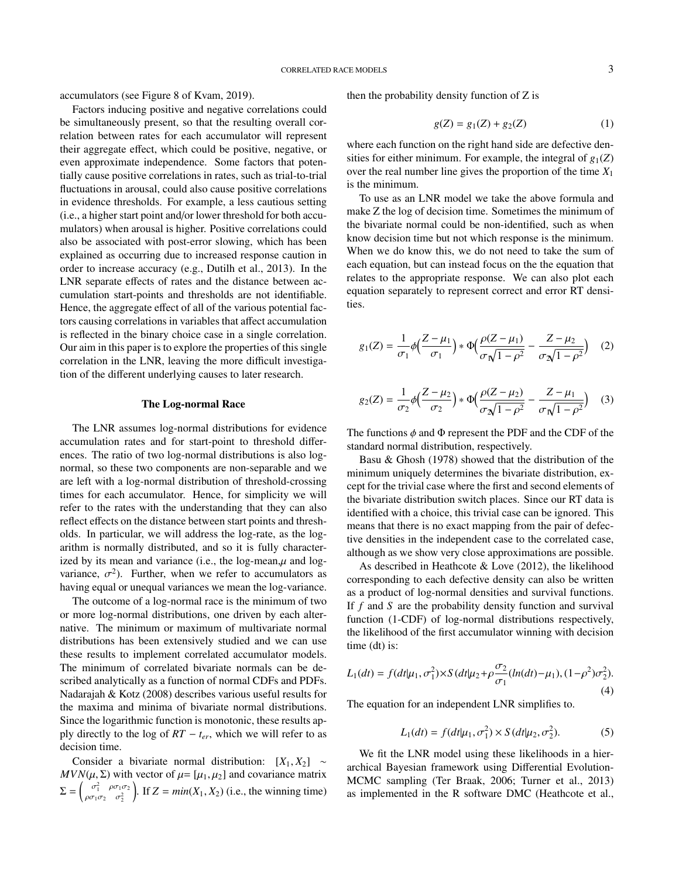accumulators (see Figure 8 of Kvam, 2019).

Factors inducing positive and negative correlations could be simultaneously present, so that the resulting overall correlation between rates for each accumulator will represent their aggregate effect, which could be positive, negative, or even approximate independence. Some factors that potentially cause positive correlations in rates, such as trial-to-trial fluctuations in arousal, could also cause positive correlations in evidence thresholds. For example, a less cautious setting (i.e., a higher start point and/or lower threshold for both accumulators) when arousal is higher. Positive correlations could also be associated with post-error slowing, which has been explained as occurring due to increased response caution in order to increase accuracy (e.g., Dutilh et al., 2013). In the LNR separate effects of rates and the distance between accumulation start-points and thresholds are not identifiable. Hence, the aggregate effect of all of the various potential factors causing correlations in variables that affect accumulation is reflected in the binary choice case in a single correlation. Our aim in this paper is to explore the properties of this single correlation in the LNR, leaving the more difficult investigation of the different underlying causes to later research.

## The Log-normal Race

The LNR assumes log-normal distributions for evidence accumulation rates and for start-point to threshold differences. The ratio of two log-normal distributions is also lognormal, so these two components are non-separable and we are left with a log-normal distribution of threshold-crossing times for each accumulator. Hence, for simplicity we will refer to the rates with the understanding that they can also reflect effects on the distance between start points and thresholds. In particular, we will address the log-rate, as the logarithm is normally distributed, and so it is fully characterized by its mean and variance (i.e., the  $log-mean,\mu$  and  $log$ variance,  $\sigma^2$ ). Further, when we refer to accumulators as<br>having equal or unequal variances we mean the log-variance having equal or unequal variances we mean the log-variance.

The outcome of a log-normal race is the minimum of two or more log-normal distributions, one driven by each alternative. The minimum or maximum of multivariate normal distributions has been extensively studied and we can use these results to implement correlated accumulator models. The minimum of correlated bivariate normals can be described analytically as a function of normal CDFs and PDFs. Nadarajah & Kotz (2008) describes various useful results for the maxima and minima of bivariate normal distributions. Since the logarithmic function is monotonic, these results apply directly to the log of  $RT - t_{er}$ , which we will refer to as decision time.

Consider a bivariate normal distribution:  $[X_1, X_2] \sim$  $MVN(\mu, \Sigma)$  with vector of  $\mu = [\mu_1, \mu_2]$  and covariance matrix  $\Sigma = \begin{pmatrix} \sigma_1^2 & \rho \sigma_1 \sigma_2 \\ \rho \sigma_1 \sigma_2 & \sigma_2^2 \end{pmatrix}$  $\rho \sigma_1 \sigma_2 \quad \sigma_2^2$ If  $Z = min(X_1, X_2)$  (i.e., the winning time)

then the probability density function of Z is

$$
g(Z) = g_1(Z) + g_2(Z) \tag{1}
$$

where each function on the right hand side are defective densities for either minimum. For example, the integral of  $g_1(Z)$ over the real number line gives the proportion of the time *X*<sup>1</sup> is the minimum.

To use as an LNR model we take the above formula and make Z the log of decision time. Sometimes the minimum of the bivariate normal could be non-identified, such as when know decision time but not which response is the minimum. When we do know this, we do not need to take the sum of each equation, but can instead focus on the the equation that relates to the appropriate response. We can also plot each equation separately to represent correct and error RT densities.

$$
g_1(Z) = \frac{1}{\sigma_1} \phi \Big( \frac{Z - \mu_1}{\sigma_1} \Big) * \Phi \Big( \frac{\rho (Z - \mu_1)}{\sigma \sqrt{1 - \rho^2}} - \frac{Z - \mu_2}{\sigma \sqrt{1 - \rho^2}} \Big) \tag{2}
$$

$$
g_2(Z) = \frac{1}{\sigma_2} \phi \Big( \frac{Z - \mu_2}{\sigma_2} \Big) * \Phi \Big( \frac{\rho (Z - \mu_2)}{\sigma_2 \sqrt{1 - \rho^2}} - \frac{Z - \mu_1}{\sigma_1 \sqrt{1 - \rho^2}} \Big) \quad (3)
$$

The functions  $\phi$  and  $\Phi$  represent the PDF and the CDF of the standard normal distribution, respectively.

Basu & Ghosh (1978) showed that the distribution of the minimum uniquely determines the bivariate distribution, except for the trivial case where the first and second elements of the bivariate distribution switch places. Since our RT data is identified with a choice, this trivial case can be ignored. This means that there is no exact mapping from the pair of defective densities in the independent case to the correlated case, although as we show very close approximations are possible.

As described in Heathcote & Love (2012), the likelihood corresponding to each defective density can also be written as a product of log-normal densities and survival functions. If *f* and *S* are the probability density function and survival function (1-CDF) of log-normal distributions respectively, the likelihood of the first accumulator winning with decision time (dt) is:

$$
L_1(dt) = f(dt|\mu_1, \sigma_1^2) \times S(dt|\mu_2 + \rho \frac{\sigma_2}{\sigma_1}(\ln(dt) - \mu_1), (1 - \rho^2)\sigma_2^2).
$$
\n(4)

The equation for an independent LNR simplifies to.

$$
L_1(dt) = f(dt|\mu_1, \sigma_1^2) \times S(dt|\mu_2, \sigma_2^2).
$$
 (5)

We fit the LNR model using these likelihoods in a hierarchical Bayesian framework using Differential Evolution-MCMC sampling (Ter Braak, 2006; Turner et al., 2013) as implemented in the R software DMC (Heathcote et al.,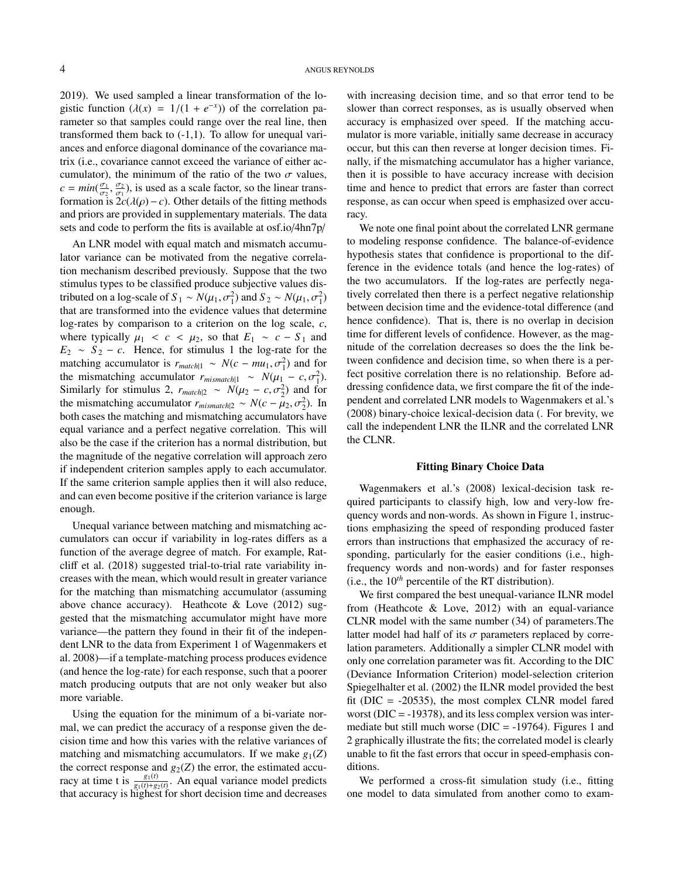2019). We used sampled a linear transformation of the logistic function  $(\lambda(x) = 1/(1 + e^{-x}))$  of the correlation pa-<br>rameter so that samples could range over the real line, then rameter so that samples could range over the real line, then transformed them back to (-1,1). To allow for unequal variances and enforce diagonal dominance of the covariance matrix (i.e., covariance cannot exceed the variance of either accumulator), the minimum of the ratio of the two  $\sigma$  values,  $c = min(\frac{\sigma_1}{\sigma_2}, \frac{\sigma_2}{\sigma_1})$ , is used as a scale factor, so the linear transformation is  $2c(\lambda(\rho)-c)$ . Other details of the fitting methods<br>and priors are provided in supplementary materials. The data and priors are provided in supplementary materials. The data sets and code to perform the fits is available at osf.io/4hn7p/

An LNR model with equal match and mismatch accumulator variance can be motivated from the negative correlation mechanism described previously. Suppose that the two stimulus types to be classified produce subjective values distributed on a log-scale of  $S_1 \sim N(\mu_1, \sigma_1^2)$  and  $S_2 \sim N(\mu_1, \sigma_1^2)$ <br>that are transformed into the evidence values that determine that are transformed into the evidence values that determine log-rates by comparison to a criterion on the log scale, *c*, where typically  $\mu_1 < c < \mu_2$ , so that  $E_1 \sim c - S_1$  and  $E_2 \sim S_2 - c$ . Hence, for stimulus 1 the log-rate for the matching accumulator is  $r_{match} \sim N(c - mu_1, \sigma_1^2)$  and for the mismatching accumulator  $r_{min} \sim N(u_1 - c \sigma_1^2)$ the mismatching accumulator  $r_{mismatch|1} \sim N(\mu_1 - c, \sigma_1^2)$ .<br>Similarly for stimulus 2,  $r_{mix} \sim N(\mu_2 - c, \sigma_1^2)$  and for Similarly for stimulus 2,  $r_{match|2} \sim N(\mu_2 - c, \sigma_2^2)$  and for the mismatching accumulator  $r : \mu_2 \sim N(c - \mu_2, \sigma_2^2)$  In the mismatching accumulator  $r_{mismatch|2} \sim N(c - \mu_2, \sigma_2^2)$ . In hoth cases the matching and mismatching accumulators have both cases the matching and mismatching accumulators have equal variance and a perfect negative correlation. This will also be the case if the criterion has a normal distribution, but the magnitude of the negative correlation will approach zero if independent criterion samples apply to each accumulator. If the same criterion sample applies then it will also reduce, and can even become positive if the criterion variance is large enough.

Unequal variance between matching and mismatching accumulators can occur if variability in log-rates differs as a function of the average degree of match. For example, Ratcliff et al. (2018) suggested trial-to-trial rate variability increases with the mean, which would result in greater variance for the matching than mismatching accumulator (assuming above chance accuracy). Heathcote & Love (2012) suggested that the mismatching accumulator might have more variance—the pattern they found in their fit of the independent LNR to the data from Experiment 1 of Wagenmakers et al. 2008)—if a template-matching process produces evidence (and hence the log-rate) for each response, such that a poorer match producing outputs that are not only weaker but also more variable.

Using the equation for the minimum of a bi-variate normal, we can predict the accuracy of a response given the decision time and how this varies with the relative variances of matching and mismatching accumulators. If we make  $g_1(Z)$ the correct response and  $g_2(Z)$  the error, the estimated accuracy at time t is  $\frac{g_1(t)}{g_1(t)+g_2(t)}$ . An equal variance model predicts that accuracy is highest for short decision time and decreases

with increasing decision time, and so that error tend to be slower than correct responses, as is usually observed when accuracy is emphasized over speed. If the matching accumulator is more variable, initially same decrease in accuracy occur, but this can then reverse at longer decision times. Finally, if the mismatching accumulator has a higher variance, then it is possible to have accuracy increase with decision time and hence to predict that errors are faster than correct response, as can occur when speed is emphasized over accuracy.

We note one final point about the correlated LNR germane to modeling response confidence. The balance-of-evidence hypothesis states that confidence is proportional to the difference in the evidence totals (and hence the log-rates) of the two accumulators. If the log-rates are perfectly negatively correlated then there is a perfect negative relationship between decision time and the evidence-total difference (and hence confidence). That is, there is no overlap in decision time for different levels of confidence. However, as the magnitude of the correlation decreases so does the the link between confidence and decision time, so when there is a perfect positive correlation there is no relationship. Before addressing confidence data, we first compare the fit of the independent and correlated LNR models to Wagenmakers et al.'s (2008) binary-choice lexical-decision data (. For brevity, we call the independent LNR the ILNR and the correlated LNR the CLNR.

#### Fitting Binary Choice Data

Wagenmakers et al.'s (2008) lexical-decision task required participants to classify high, low and very-low frequency words and non-words. As shown in Figure 1, instructions emphasizing the speed of responding produced faster errors than instructions that emphasized the accuracy of responding, particularly for the easier conditions (i.e., highfrequency words and non-words) and for faster responses (i.e., the  $10^{th}$  percentile of the RT distribution).

We first compared the best unequal-variance ILNR model from (Heathcote & Love, 2012) with an equal-variance CLNR model with the same number (34) of parameters.The latter model had half of its  $\sigma$  parameters replaced by correlation parameters. Additionally a simpler CLNR model with only one correlation parameter was fit. According to the DIC (Deviance Information Criterion) model-selection criterion Spiegelhalter et al. (2002) the ILNR model provided the best fit ( $DIC = -20535$ ), the most complex CLNR model fared worst ( $\text{DIC} = -19378$ ), and its less complex version was intermediate but still much worse ( $DIC = -19764$ ). Figures 1 and 2 graphically illustrate the fits; the correlated model is clearly unable to fit the fast errors that occur in speed-emphasis conditions.

We performed a cross-fit simulation study (i.e., fitting one model to data simulated from another como to exam-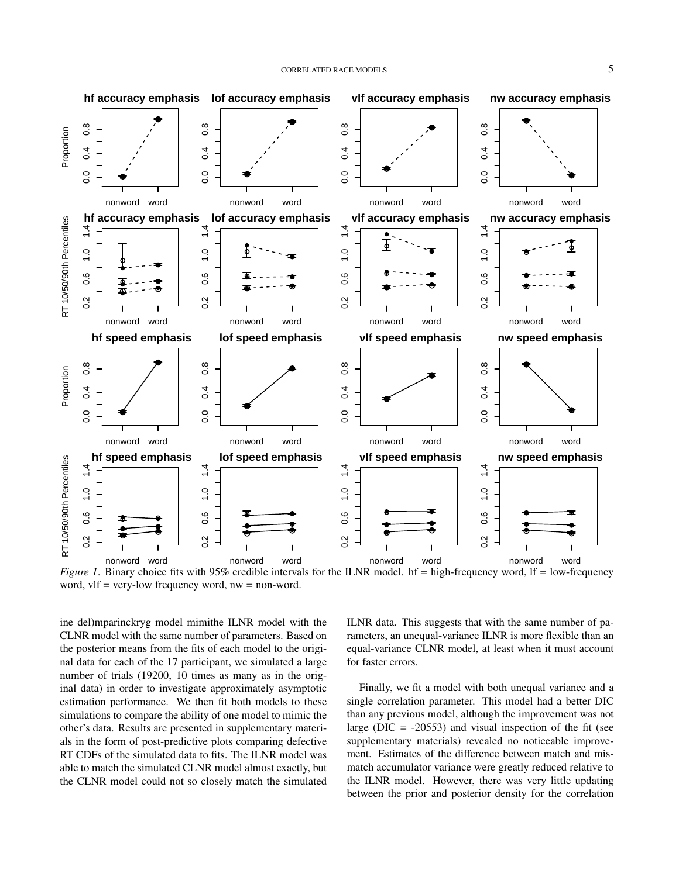

*Figure 1*. Binary choice fits with 95% credible intervals for the ILNR model. hf = high-frequency word, lf = low-frequency word, vlf = very-low frequency word, nw = non-word.

ine del)mparinckryg model mimithe ILNR model with the CLNR model with the same number of parameters. Based on the posterior means from the fits of each model to the original data for each of the 17 participant, we simulated a large number of trials (19200, 10 times as many as in the original data) in order to investigate approximately asymptotic estimation performance. We then fit both models to these simulations to compare the ability of one model to mimic the other's data. Results are presented in supplementary materials in the form of post-predictive plots comparing defective RT CDFs of the simulated data to fits. The ILNR model was able to match the simulated CLNR model almost exactly, but the CLNR model could not so closely match the simulated

ILNR data. This suggests that with the same number of parameters, an unequal-variance ILNR is more flexible than an equal-variance CLNR model, at least when it must account for faster errors.

Finally, we fit a model with both unequal variance and a single correlation parameter. This model had a better DIC than any previous model, although the improvement was not large ( $DIC = -20553$ ) and visual inspection of the fit (see supplementary materials) revealed no noticeable improvement. Estimates of the difference between match and mismatch accumulator variance were greatly reduced relative to the ILNR model. However, there was very little updating between the prior and posterior density for the correlation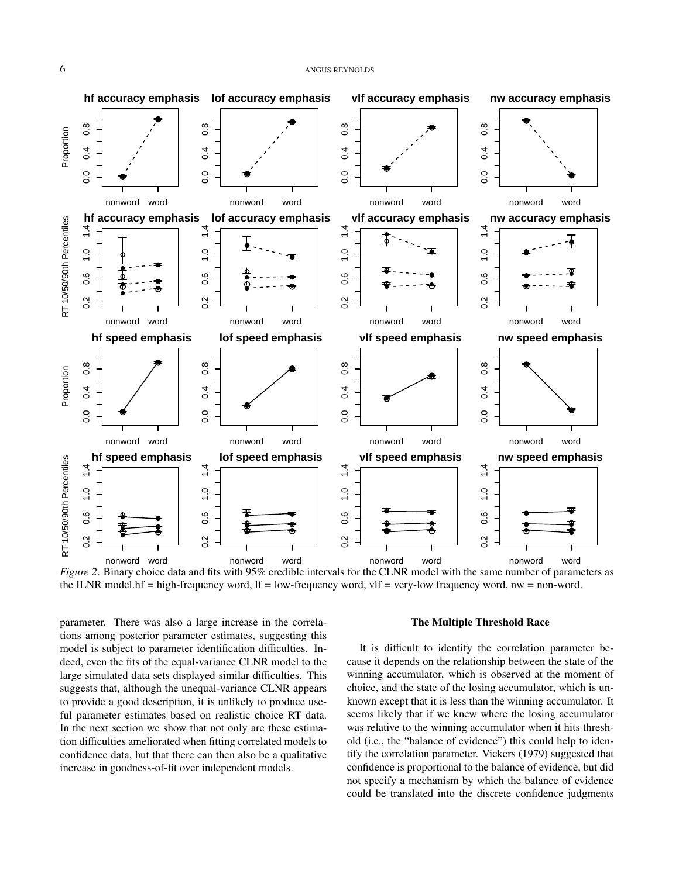

*Figure 2*. Binary choice data and fits with 95% credible intervals for the CLNR model with the same number of parameters as the ILNR model.hf = high-frequency word, lf = low-frequency word, vlf = very-low frequency word, nw = non-word.

parameter. There was also a large increase in the correlations among posterior parameter estimates, suggesting this model is subject to parameter identification difficulties. Indeed, even the fits of the equal-variance CLNR model to the large simulated data sets displayed similar difficulties. This suggests that, although the unequal-variance CLNR appears to provide a good description, it is unlikely to produce useful parameter estimates based on realistic choice RT data. In the next section we show that not only are these estimation difficulties ameliorated when fitting correlated models to confidence data, but that there can then also be a qualitative increase in goodness-of-fit over independent models.

#### The Multiple Threshold Race

It is difficult to identify the correlation parameter because it depends on the relationship between the state of the winning accumulator, which is observed at the moment of choice, and the state of the losing accumulator, which is unknown except that it is less than the winning accumulator. It seems likely that if we knew where the losing accumulator was relative to the winning accumulator when it hits threshold (i.e., the "balance of evidence") this could help to identify the correlation parameter. Vickers (1979) suggested that confidence is proportional to the balance of evidence, but did not specify a mechanism by which the balance of evidence could be translated into the discrete confidence judgments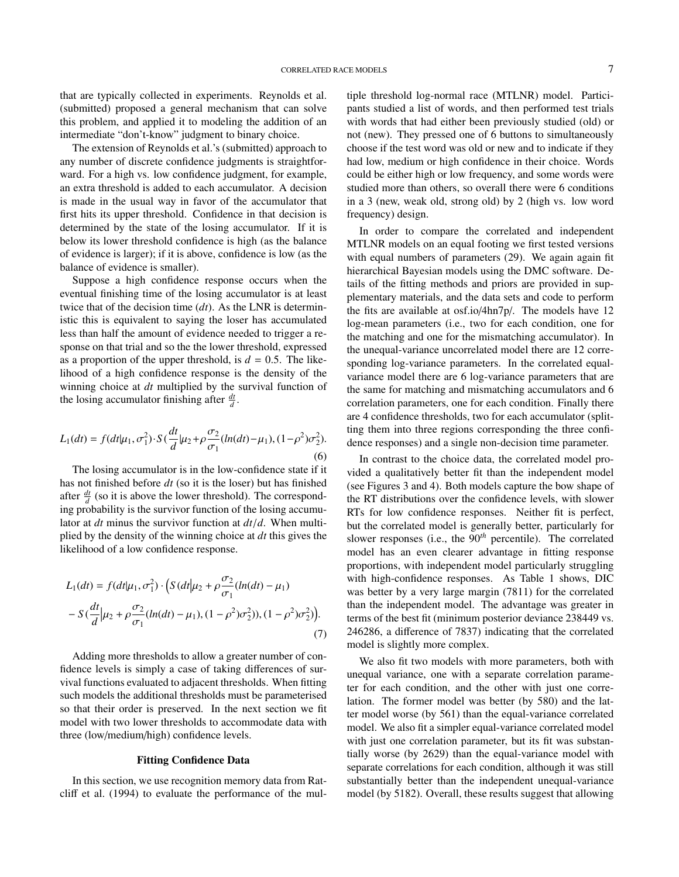that are typically collected in experiments. Reynolds et al. (submitted) proposed a general mechanism that can solve this problem, and applied it to modeling the addition of an intermediate "don't-know" judgment to binary choice.

The extension of Reynolds et al.'s (submitted) approach to any number of discrete confidence judgments is straightforward. For a high vs. low confidence judgment, for example, an extra threshold is added to each accumulator. A decision is made in the usual way in favor of the accumulator that first hits its upper threshold. Confidence in that decision is determined by the state of the losing accumulator. If it is below its lower threshold confidence is high (as the balance of evidence is larger); if it is above, confidence is low (as the balance of evidence is smaller).

Suppose a high confidence response occurs when the eventual finishing time of the losing accumulator is at least twice that of the decision time (*dt*). As the LNR is deterministic this is equivalent to saying the loser has accumulated less than half the amount of evidence needed to trigger a response on that trial and so the the lower threshold, expressed as a proportion of the upper threshold, is  $d = 0.5$ . The likelihood of a high confidence response is the density of the winning choice at *dt* multiplied by the survival function of the losing accumulator finishing after  $\frac{dt}{d}$ .

$$
L_1(dt) = f(dt|\mu_1, \sigma_1^2) \cdot S\left(\frac{dt}{d}|\mu_2 + \rho \frac{\sigma_2}{\sigma_1}(ln(dt) - \mu_1), (1 - \rho^2)\sigma_2^2\right).
$$
\n(6)

The losing accumulator is in the low-confidence state if it has not finished before *dt* (so it is the loser) but has finished after  $\frac{dt}{d}$  (so it is above the lower threshold). The corresponding probability is the survivor function of the losing accumulator at *dt* minus the survivor function at *dt*/*d*. When multiplied by the density of the winning choice at *dt* this gives the likelihood of a low confidence response.

$$
L_1(dt) = f(dt|\mu_1, \sigma_1^2) \cdot \left( S(dt|\mu_2 + \rho \frac{\sigma_2}{\sigma_1} (ln(dt) - \mu_1) - S(\frac{dt}{d}|\mu_2 + \rho \frac{\sigma_2}{\sigma_1} (ln(dt) - \mu_1), (1 - \rho^2)\sigma_2^2)), (1 - \rho^2)\sigma_2^2) \right).
$$
\n(7)

Adding more thresholds to allow a greater number of confidence levels is simply a case of taking differences of survival functions evaluated to adjacent thresholds. When fitting such models the additional thresholds must be parameterised so that their order is preserved. In the next section we fit model with two lower thresholds to accommodate data with three (low/medium/high) confidence levels.

## Fitting Confidence Data

In this section, we use recognition memory data from Ratcliff et al. (1994) to evaluate the performance of the multiple threshold log-normal race (MTLNR) model. Participants studied a list of words, and then performed test trials with words that had either been previously studied (old) or not (new). They pressed one of 6 buttons to simultaneously choose if the test word was old or new and to indicate if they had low, medium or high confidence in their choice. Words could be either high or low frequency, and some words were studied more than others, so overall there were 6 conditions in a 3 (new, weak old, strong old) by 2 (high vs. low word frequency) design.

In order to compare the correlated and independent MTLNR models on an equal footing we first tested versions with equal numbers of parameters (29). We again again fit hierarchical Bayesian models using the DMC software. Details of the fitting methods and priors are provided in supplementary materials, and the data sets and code to perform the fits are available at osf.io/4hn7p/. The models have 12 log-mean parameters (i.e., two for each condition, one for the matching and one for the mismatching accumulator). In the unequal-variance uncorrelated model there are 12 corresponding log-variance parameters. In the correlated equalvariance model there are 6 log-variance parameters that are the same for matching and mismatching accumulators and 6 correlation parameters, one for each condition. Finally there are 4 confidence thresholds, two for each accumulator (splitting them into three regions corresponding the three confidence responses) and a single non-decision time parameter.

In contrast to the choice data, the correlated model provided a qualitatively better fit than the independent model (see Figures 3 and 4). Both models capture the bow shape of the RT distributions over the confidence levels, with slower RTs for low confidence responses. Neither fit is perfect, but the correlated model is generally better, particularly for slower responses (i.e., the 90*th* percentile). The correlated model has an even clearer advantage in fitting response proportions, with independent model particularly struggling with high-confidence responses. As Table 1 shows, DIC was better by a very large margin (7811) for the correlated than the independent model. The advantage was greater in terms of the best fit (minimum posterior deviance 238449 vs. 246286, a difference of 7837) indicating that the correlated model is slightly more complex.

We also fit two models with more parameters, both with unequal variance, one with a separate correlation parameter for each condition, and the other with just one correlation. The former model was better (by 580) and the latter model worse (by 561) than the equal-variance correlated model. We also fit a simpler equal-variance correlated model with just one correlation parameter, but its fit was substantially worse (by 2629) than the equal-variance model with separate correlations for each condition, although it was still substantially better than the independent unequal-variance model (by 5182). Overall, these results suggest that allowing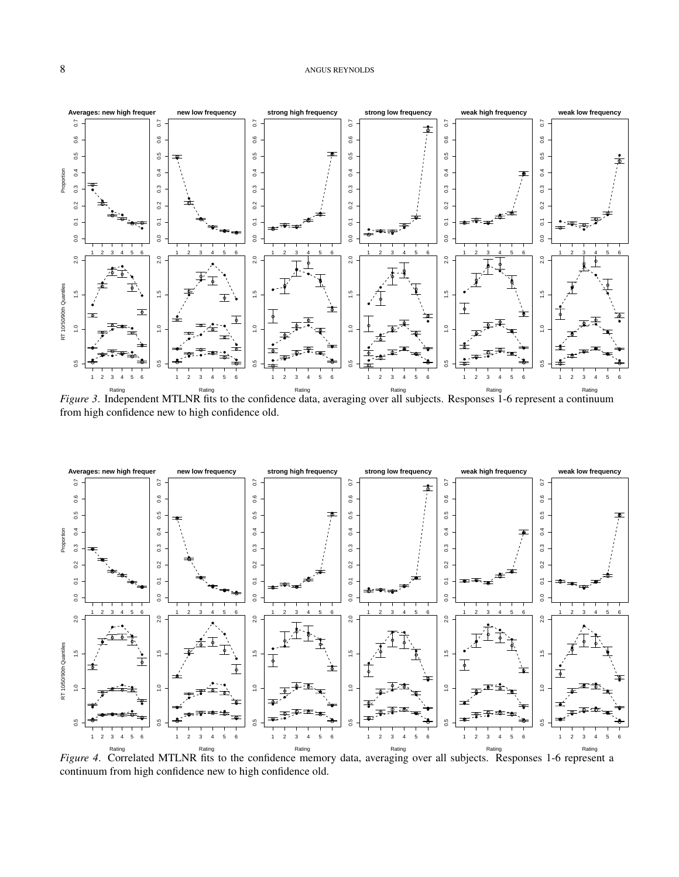

<sup>Rating</sup><br>*Figure 3*. Independent MTLNR fits to the confidence data, averaging over all subjects. Responses 1-6 represent a continuum from high confidence new to high confidence old.



<sup>Rating</sup><br>Figure 4. Correlated MTLNR fits to the confidence memory data, averaging over all subjects. Responses 1-6 represent a continuum from high confidence new to high confidence old.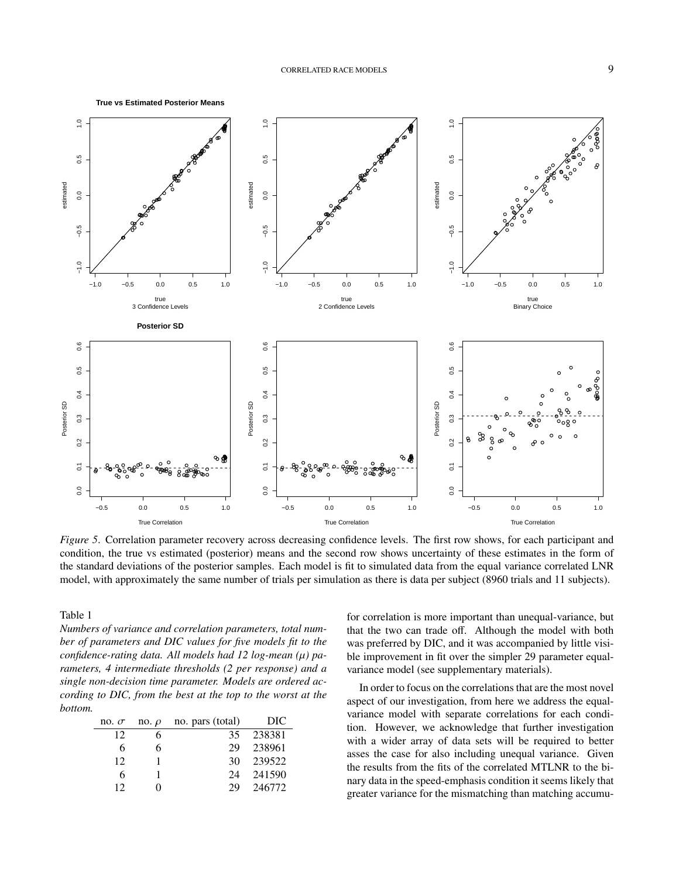

*Figure 5*. Correlation parameter recovery across decreasing confidence levels. The first row shows, for each participant and condition, the true vs estimated (posterior) means and the second row shows uncertainty of these estimates in the form of the standard deviations of the posterior samples. Each model is fit to simulated data from the equal variance correlated LNR model, with approximately the same number of trials per simulation as there is data per subject (8960 trials and 11 subjects).

Table 1

*Numbers of variance and correlation parameters, total number of parameters and DIC values for five models fit to the confidence-rating data. All models had 12 log-mean (*µ*) parameters, 4 intermediate thresholds (2 per response) and a single non-decision time parameter. Models are ordered according to DIC, from the best at the top to the worst at the bottom.*

| no. $\sigma$ | no. $\rho$ | no. pars (total) | DIC    |
|--------------|------------|------------------|--------|
| 12           |            | 35               | 238381 |
| 6            | 6          | 29               | 238961 |
| 12           |            | 30               | 239522 |
| 6            |            | 24               | 241590 |
| 12           |            | 29               | 246772 |

for correlation is more important than unequal-variance, but that the two can trade off. Although the model with both was preferred by DIC, and it was accompanied by little visible improvement in fit over the simpler 29 parameter equalvariance model (see supplementary materials).

In order to focus on the correlations that are the most novel aspect of our investigation, from here we address the equalvariance model with separate correlations for each condition. However, we acknowledge that further investigation with a wider array of data sets will be required to better asses the case for also including unequal variance. Given the results from the fits of the correlated MTLNR to the binary data in the speed-emphasis condition it seems likely that greater variance for the mismatching than matching accumu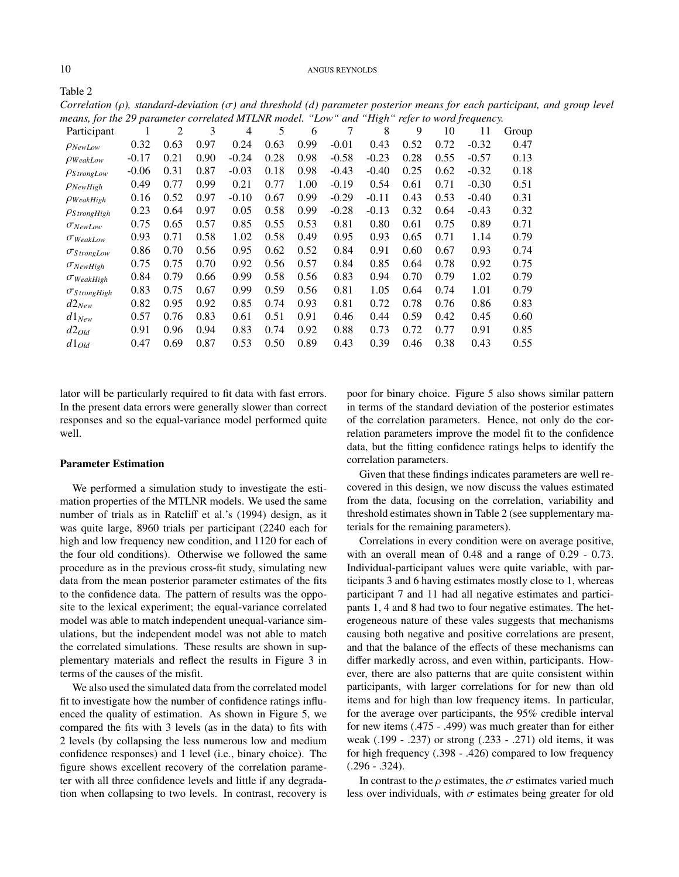10 ANGUS REYNOLDS

*Correlation (*ρ*), standard-deviation (*σ*) and threshold (d) parameter posterior means for each participant, and group level means, for the 29 parameter correlated MTLNR model. "Low" and "High" refer to word frequency.*

| realis, for the 29 parameter correlated in 12 model. |         |      |      |         |      | $\sim$ | $\cdots$ | $\cdots$ | $i$ experience |      | $\sigma$ and $\sigma$ and $\sigma$ and $\sigma$ and $\sigma$ |       |
|------------------------------------------------------|---------|------|------|---------|------|--------|----------|----------|----------------|------|--------------------------------------------------------------|-------|
| Participant                                          |         | 2    | 3    | 4       | 5    | 6      | 7        | 8        | 9              | 10   | 11                                                           | Group |
| $\rho_{NewLow}$                                      | 0.32    | 0.63 | 0.97 | 0.24    | 0.63 | 0.99   | $-0.01$  | 0.43     | 0.52           | 0.72 | $-0.32$                                                      | 0.47  |
| $\rho_{WeakLow}$                                     | $-0.17$ | 0.21 | 0.90 | $-0.24$ | 0.28 | 0.98   | $-0.58$  | $-0.23$  | 0.28           | 0.55 | $-0.57$                                                      | 0.13  |
| $\rho_{StrongLow}$                                   | $-0.06$ | 0.31 | 0.87 | $-0.03$ | 0.18 | 0.98   | $-0.43$  | $-0.40$  | 0.25           | 0.62 | $-0.32$                                                      | 0.18  |
| $\rho_{NewHigh}$                                     | 0.49    | 0.77 | 0.99 | 0.21    | 0.77 | 1.00   | $-0.19$  | 0.54     | 0.61           | 0.71 | $-0.30$                                                      | 0.51  |
| $\rho_{WeakHigh}$                                    | 0.16    | 0.52 | 0.97 | $-0.10$ | 0.67 | 0.99   | $-0.29$  | $-0.11$  | 0.43           | 0.53 | $-0.40$                                                      | 0.31  |
| $\rho_{StrongHigh}$                                  | 0.23    | 0.64 | 0.97 | 0.05    | 0.58 | 0.99   | $-0.28$  | $-0.13$  | 0.32           | 0.64 | $-0.43$                                                      | 0.32  |
| $\sigma_{NewLow}$                                    | 0.75    | 0.65 | 0.57 | 0.85    | 0.55 | 0.53   | 0.81     | 0.80     | 0.61           | 0.75 | 0.89                                                         | 0.71  |
| $\sigma_{WeakLow}$                                   | 0.93    | 0.71 | 0.58 | 1.02    | 0.58 | 0.49   | 0.95     | 0.93     | 0.65           | 0.71 | 1.14                                                         | 0.79  |
| $\sigma_{StrongLow}$                                 | 0.86    | 0.70 | 0.56 | 0.95    | 0.62 | 0.52   | 0.84     | 0.91     | 0.60           | 0.67 | 0.93                                                         | 0.74  |
| $\sigma_{NewHigh}$                                   | 0.75    | 0.75 | 0.70 | 0.92    | 0.56 | 0.57   | 0.84     | 0.85     | 0.64           | 0.78 | 0.92                                                         | 0.75  |
| $\sigma_{WeakHigh}$                                  | 0.84    | 0.79 | 0.66 | 0.99    | 0.58 | 0.56   | 0.83     | 0.94     | 0.70           | 0.79 | 1.02                                                         | 0.79  |
| $\sigma_{StrongHigh}$                                | 0.83    | 0.75 | 0.67 | 0.99    | 0.59 | 0.56   | 0.81     | 1.05     | 0.64           | 0.74 | 1.01                                                         | 0.79  |
| $d2_{New}$                                           | 0.82    | 0.95 | 0.92 | 0.85    | 0.74 | 0.93   | 0.81     | 0.72     | 0.78           | 0.76 | 0.86                                                         | 0.83  |
| $d1_{New}$                                           | 0.57    | 0.76 | 0.83 | 0.61    | 0.51 | 0.91   | 0.46     | 0.44     | 0.59           | 0.42 | 0.45                                                         | 0.60  |
| $d2_{Old}$                                           | 0.91    | 0.96 | 0.94 | 0.83    | 0.74 | 0.92   | 0.88     | 0.73     | 0.72           | 0.77 | 0.91                                                         | 0.85  |
| $d1_{Old}$                                           | 0.47    | 0.69 | 0.87 | 0.53    | 0.50 | 0.89   | 0.43     | 0.39     | 0.46           | 0.38 | 0.43                                                         | 0.55  |
|                                                      |         |      |      |         |      |        |          |          |                |      |                                                              |       |

lator will be particularly required to fit data with fast errors. In the present data errors were generally slower than correct responses and so the equal-variance model performed quite well.

## Parameter Estimation

We performed a simulation study to investigate the estimation properties of the MTLNR models. We used the same number of trials as in Ratcliff et al.'s (1994) design, as it was quite large, 8960 trials per participant (2240 each for high and low frequency new condition, and 1120 for each of the four old conditions). Otherwise we followed the same procedure as in the previous cross-fit study, simulating new data from the mean posterior parameter estimates of the fits to the confidence data. The pattern of results was the opposite to the lexical experiment; the equal-variance correlated model was able to match independent unequal-variance simulations, but the independent model was not able to match the correlated simulations. These results are shown in supplementary materials and reflect the results in Figure 3 in terms of the causes of the misfit.

We also used the simulated data from the correlated model fit to investigate how the number of confidence ratings influenced the quality of estimation. As shown in Figure 5, we compared the fits with 3 levels (as in the data) to fits with 2 levels (by collapsing the less numerous low and medium confidence responses) and 1 level (i.e., binary choice). The figure shows excellent recovery of the correlation parameter with all three confidence levels and little if any degradation when collapsing to two levels. In contrast, recovery is poor for binary choice. Figure 5 also shows similar pattern in terms of the standard deviation of the posterior estimates of the correlation parameters. Hence, not only do the correlation parameters improve the model fit to the confidence data, but the fitting confidence ratings helps to identify the correlation parameters.

Given that these findings indicates parameters are well recovered in this design, we now discuss the values estimated from the data, focusing on the correlation, variability and threshold estimates shown in Table 2 (see supplementary materials for the remaining parameters).

Correlations in every condition were on average positive, with an overall mean of 0.48 and a range of 0.29 - 0.73. Individual-participant values were quite variable, with participants 3 and 6 having estimates mostly close to 1, whereas participant 7 and 11 had all negative estimates and participants 1, 4 and 8 had two to four negative estimates. The heterogeneous nature of these vales suggests that mechanisms causing both negative and positive correlations are present, and that the balance of the effects of these mechanisms can differ markedly across, and even within, participants. However, there are also patterns that are quite consistent within participants, with larger correlations for for new than old items and for high than low frequency items. In particular, for the average over participants, the 95% credible interval for new items (.475 - .499) was much greater than for either weak (.199 - .237) or strong (.233 - .271) old items, it was for high frequency (.398 - .426) compared to low frequency (.296 - .324).

In contrast to the  $\rho$  estimates, the  $\sigma$  estimates varied much less over individuals, with  $\sigma$  estimates being greater for old

Table 2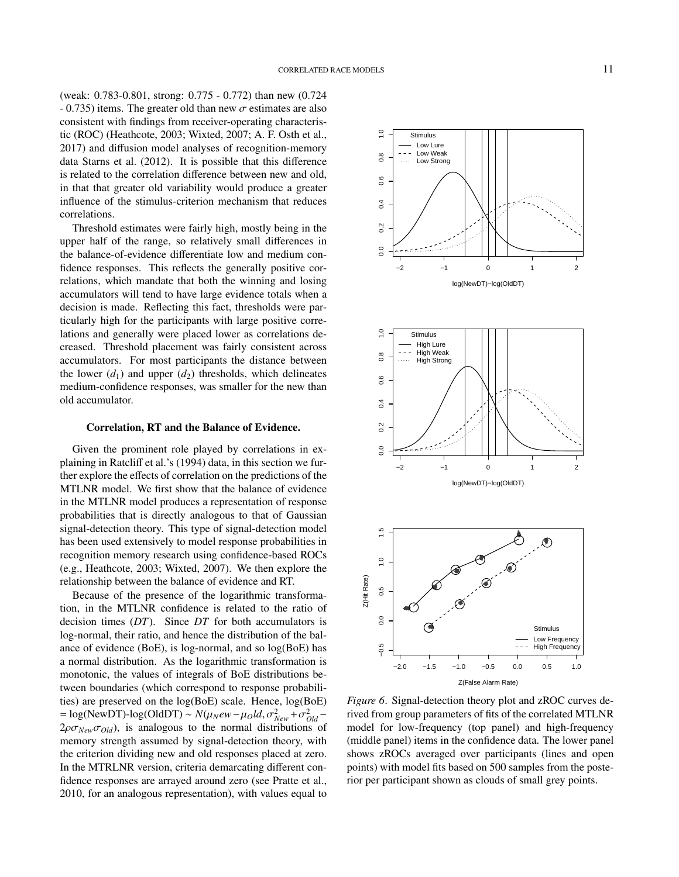(weak: 0.783-0.801, strong: 0.775 - 0.772) than new (0.724  $- 0.735$ ) items. The greater old than new  $\sigma$  estimates are also consistent with findings from receiver-operating characteristic (ROC) (Heathcote, 2003; Wixted, 2007; A. F. Osth et al., 2017) and diffusion model analyses of recognition-memory data Starns et al. (2012). It is possible that this difference is related to the correlation difference between new and old, in that that greater old variability would produce a greater influence of the stimulus-criterion mechanism that reduces correlations.

Threshold estimates were fairly high, mostly being in the upper half of the range, so relatively small differences in the balance-of-evidence differentiate low and medium confidence responses. This reflects the generally positive correlations, which mandate that both the winning and losing accumulators will tend to have large evidence totals when a decision is made. Reflecting this fact, thresholds were particularly high for the participants with large positive correlations and generally were placed lower as correlations decreased. Threshold placement was fairly consistent across accumulators. For most participants the distance between the lower  $(d_1)$  and upper  $(d_2)$  thresholds, which delineates medium-confidence responses, was smaller for the new than old accumulator.

#### Correlation, RT and the Balance of Evidence.

Given the prominent role played by correlations in explaining in Ratcliff et al.'s (1994) data, in this section we further explore the effects of correlation on the predictions of the MTLNR model. We first show that the balance of evidence in the MTLNR model produces a representation of response probabilities that is directly analogous to that of Gaussian signal-detection theory. This type of signal-detection model has been used extensively to model response probabilities in recognition memory research using confidence-based ROCs (e.g., Heathcote, 2003; Wixted, 2007). We then explore the relationship between the balance of evidence and RT.

Because of the presence of the logarithmic transformation, in the MTLNR confidence is related to the ratio of decision times (*DT*). Since *DT* for both accumulators is log-normal, their ratio, and hence the distribution of the balance of evidence (BoE), is log-normal, and so log(BoE) has a normal distribution. As the logarithmic transformation is monotonic, the values of integrals of BoE distributions between boundaries (which correspond to response probabilities) are preserved on the log(BoE) scale. Hence, log(BoE)  $= \log(\text{NewDT}) - \log(\text{OldDT}) \sim N(\mu_N e w - \mu_0 Id, \sigma_{New}^2 + \sigma_{old}^2 -$ <br>2*o* $\tau_{W}$  ( $\tau_{\text{out}}$ ) is analogous to the normal distributions of  $2\rho\sigma_{New}\sigma_{Old}$ , is analogous to the normal distributions of memory strength assumed by signal-detection theory, with the criterion dividing new and old responses placed at zero. In the MTRLNR version, criteria demarcating different confidence responses are arrayed around zero (see Pratte et al., 2010, for an analogous representation), with values equal to







*Figure 6*. Signal-detection theory plot and zROC curves derived from group parameters of fits of the correlated MTLNR model for low-frequency (top panel) and high-frequency (middle panel) items in the confidence data. The lower panel shows zROCs averaged over participants (lines and open points) with model fits based on 500 samples from the posterior per participant shown as clouds of small grey points.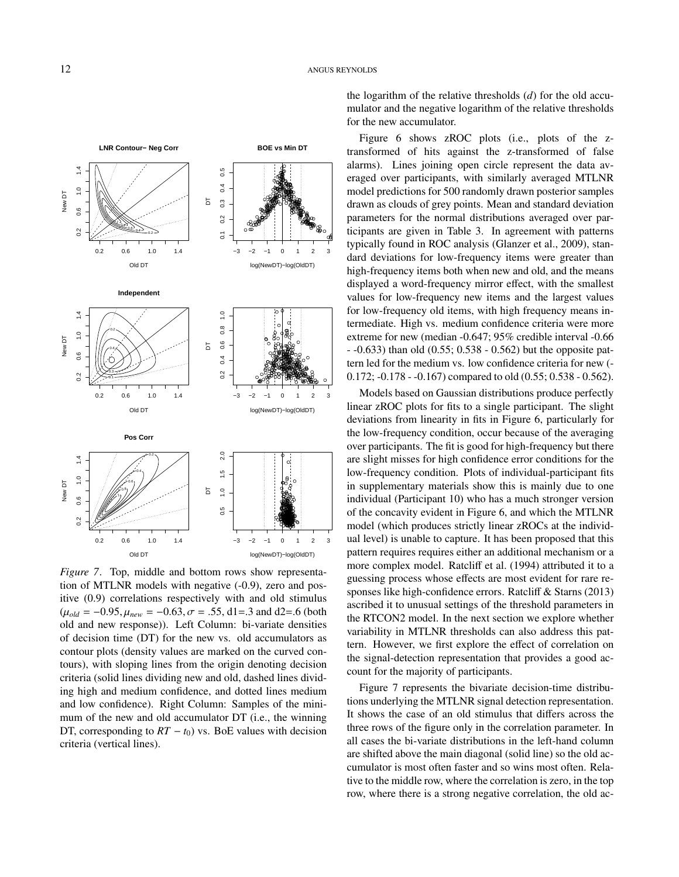

*Figure 7*. Top, middle and bottom rows show representation of MTLNR models with negative (-0.9), zero and positive (0.9) correlations respectively with and old stimulus  $(\mu_{old} = -0.95, \mu_{new} = -0.63, \sigma = .55, \text{ d1} = .3 \text{ and } \text{ d2} = .6 \text{ (both)}$ old and new response)). Left Column: bi-variate densities of decision time (DT) for the new vs. old accumulators as contour plots (density values are marked on the curved contours), with sloping lines from the origin denoting decision criteria (solid lines dividing new and old, dashed lines dividing high and medium confidence, and dotted lines medium and low confidence). Right Column: Samples of the minimum of the new and old accumulator DT (i.e., the winning DT, corresponding to  $RT - t_0$ ) vs. BoE values with decision criteria (vertical lines).

the logarithm of the relative thresholds (*d*) for the old accumulator and the negative logarithm of the relative thresholds for the new accumulator.

Figure 6 shows zROC plots (i.e., plots of the ztransformed of hits against the z-transformed of false alarms). Lines joining open circle represent the data averaged over participants, with similarly averaged MTLNR model predictions for 500 randomly drawn posterior samples drawn as clouds of grey points. Mean and standard deviation parameters for the normal distributions averaged over participants are given in Table 3. In agreement with patterns typically found in ROC analysis (Glanzer et al., 2009), standard deviations for low-frequency items were greater than high-frequency items both when new and old, and the means displayed a word-frequency mirror effect, with the smallest values for low-frequency new items and the largest values for low-frequency old items, with high frequency means intermediate. High vs. medium confidence criteria were more extreme for new (median -0.647; 95% credible interval -0.66 - -0.633) than old (0.55; 0.538 - 0.562) but the opposite pattern led for the medium vs. low confidence criteria for new (- 0.172; -0.178 - -0.167) compared to old (0.55; 0.538 - 0.562).

Models based on Gaussian distributions produce perfectly linear zROC plots for fits to a single participant. The slight deviations from linearity in fits in Figure 6, particularly for the low-frequency condition, occur because of the averaging over participants. The fit is good for high-frequency but there are slight misses for high confidence error conditions for the low-frequency condition. Plots of individual-participant fits in supplementary materials show this is mainly due to one individual (Participant 10) who has a much stronger version of the concavity evident in Figure 6, and which the MTLNR model (which produces strictly linear zROCs at the individual level) is unable to capture. It has been proposed that this pattern requires requires either an additional mechanism or a more complex model. Ratcliff et al. (1994) attributed it to a guessing process whose effects are most evident for rare responses like high-confidence errors. Ratcliff & Starns (2013) ascribed it to unusual settings of the threshold parameters in the RTCON2 model. In the next section we explore whether variability in MTLNR thresholds can also address this pattern. However, we first explore the effect of correlation on the signal-detection representation that provides a good account for the majority of participants.

Figure 7 represents the bivariate decision-time distributions underlying the MTLNR signal detection representation. It shows the case of an old stimulus that differs across the three rows of the figure only in the correlation parameter. In all cases the bi-variate distributions in the left-hand column are shifted above the main diagonal (solid line) so the old accumulator is most often faster and so wins most often. Relative to the middle row, where the correlation is zero, in the top row, where there is a strong negative correlation, the old ac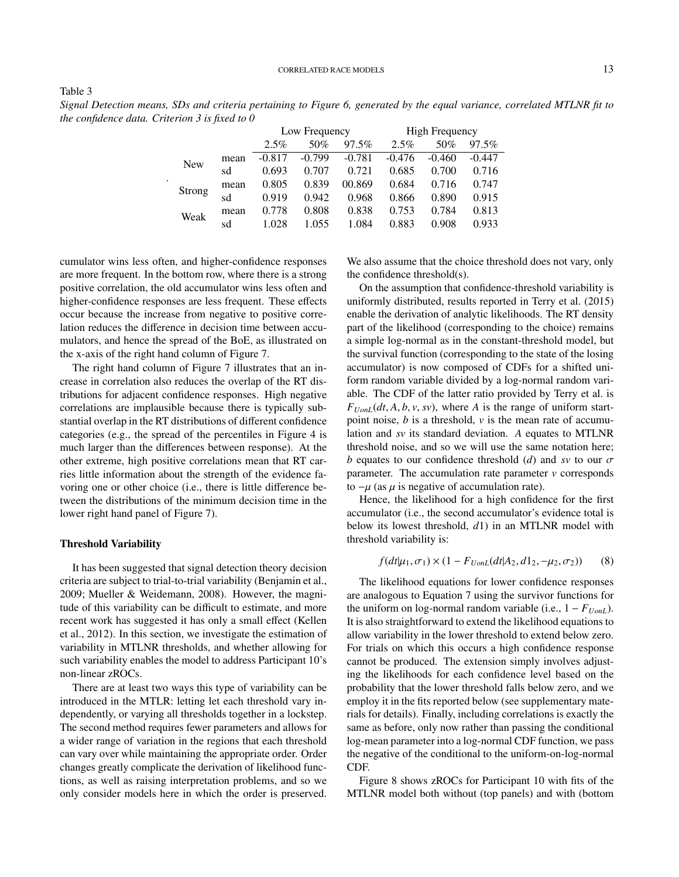CORRELATED RACE MODELS 13

Table 3

*Signal Detection means, SDs and criteria pertaining to Figure 6, generated by the equal variance, correlated MTLNR fit to the confidence data. Criterion 3 is fixed to 0*

|            |      | Low Frequency |          |          | <b>High Frequency</b> |          |          |  |
|------------|------|---------------|----------|----------|-----------------------|----------|----------|--|
|            |      | 2.5%          | 50%      | 97.5%    | 2.5%                  | 50%      | 97.5%    |  |
| <b>New</b> | mean | $-0.817$      | $-0.799$ | $-0.781$ | $-0.476$              | $-0.460$ | $-0.447$ |  |
|            | sd   | 0.693         | 0.707    | 0.721    | 0.685                 | 0.700    | 0.716    |  |
| Strong     | mean | 0.805         | 0.839    | 00.869   | 0.684                 | 0.716    | 0.747    |  |
|            | sd   | 0.919         | 0.942    | 0.968    | 0.866                 | 0.890    | 0.915    |  |
| Weak       | mean | 0.778         | 0.808    | 0.838    | 0.753                 | 0.784    | 0.813    |  |
|            | sd   | 1.028         | 1.055    | 1.084    | 0.883                 | 0.908    | 0.933    |  |

cumulator wins less often, and higher-confidence responses are more frequent. In the bottom row, where there is a strong positive correlation, the old accumulator wins less often and higher-confidence responses are less frequent. These effects occur because the increase from negative to positive correlation reduces the difference in decision time between accumulators, and hence the spread of the BoE, as illustrated on the x-axis of the right hand column of Figure 7.

.

The right hand column of Figure 7 illustrates that an increase in correlation also reduces the overlap of the RT distributions for adjacent confidence responses. High negative correlations are implausible because there is typically substantial overlap in the RT distributions of different confidence categories (e.g., the spread of the percentiles in Figure 4 is much larger than the differences between response). At the other extreme, high positive correlations mean that RT carries little information about the strength of the evidence favoring one or other choice (i.e., there is little difference between the distributions of the minimum decision time in the lower right hand panel of Figure 7).

## Threshold Variability

It has been suggested that signal detection theory decision criteria are subject to trial-to-trial variability (Benjamin et al., 2009; Mueller & Weidemann, 2008). However, the magnitude of this variability can be difficult to estimate, and more recent work has suggested it has only a small effect (Kellen et al., 2012). In this section, we investigate the estimation of variability in MTLNR thresholds, and whether allowing for such variability enables the model to address Participant 10's non-linear zROCs.

There are at least two ways this type of variability can be introduced in the MTLR: letting let each threshold vary independently, or varying all thresholds together in a lockstep. The second method requires fewer parameters and allows for a wider range of variation in the regions that each threshold can vary over while maintaining the appropriate order. Order changes greatly complicate the derivation of likelihood functions, as well as raising interpretation problems, and so we only consider models here in which the order is preserved.

We also assume that the choice threshold does not vary, only the confidence threshold(s).

On the assumption that confidence-threshold variability is uniformly distributed, results reported in Terry et al. (2015) enable the derivation of analytic likelihoods. The RT density part of the likelihood (corresponding to the choice) remains a simple log-normal as in the constant-threshold model, but the survival function (corresponding to the state of the losing accumulator) is now composed of CDFs for a shifted uniform random variable divided by a log-normal random variable. The CDF of the latter ratio provided by Terry et al. is  $F_{UonL}(dt, A, b, v, sv)$ , where *A* is the range of uniform startpoint noise, *b* is a threshold, *v* is the mean rate of accumulation and *sv* its standard deviation. *A* equates to MTLNR threshold noise, and so we will use the same notation here; *b* equates to our confidence threshold (*d*) and *sv* to our  $\sigma$ parameter. The accumulation rate parameter  $\nu$  corresponds to  $-μ$  (as  $μ$  is negative of accumulation rate).

Hence, the likelihood for a high confidence for the first accumulator (i.e., the second accumulator's evidence total is below its lowest threshold, *d*1) in an MTLNR model with threshold variability is:

$$
f(dt|\mu_1, \sigma_1) \times (1 - F_{UonL}(dt|A_2, d1_2, -\mu_2, \sigma_2)) \tag{8}
$$

The likelihood equations for lower confidence responses are analogous to Equation 7 using the survivor functions for the uniform on log-normal random variable (i.e.,  $1 - F_{UonL}$ ). It is also straightforward to extend the likelihood equations to allow variability in the lower threshold to extend below zero. For trials on which this occurs a high confidence response cannot be produced. The extension simply involves adjusting the likelihoods for each confidence level based on the probability that the lower threshold falls below zero, and we employ it in the fits reported below (see supplementary materials for details). Finally, including correlations is exactly the same as before, only now rather than passing the conditional log-mean parameter into a log-normal CDF function, we pass the negative of the conditional to the uniform-on-log-normal CDF.

Figure 8 shows zROCs for Participant 10 with fits of the MTLNR model both without (top panels) and with (bottom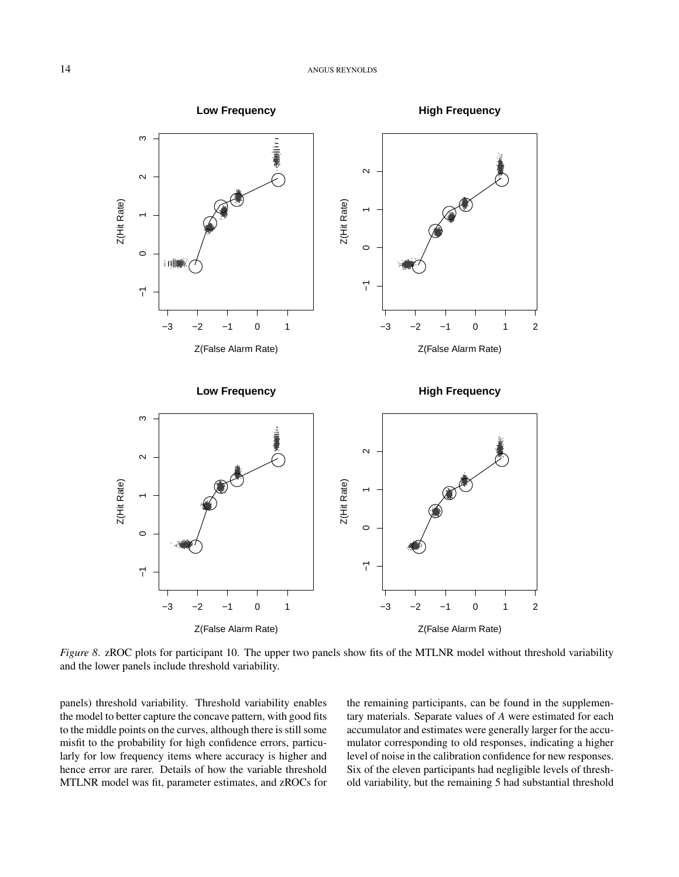

Figure 8. zROC plots for participant 10. The upper two panels show fits of the MTLNR model without threshold variability and the lower panels include threshold variability.

panels) threshold variability. Threshold variability enables the model to better capture the concave pattern, with good fits to the middle points on the curves, although there is still some misfit to the probability for high confidence errors, particularly for low frequency items where accuracy is higher and hence error are rarer. Details of how the variable threshold MTLNR model was fit, parameter estimates, and zROCs for the remaining participants, can be found in the supplementary materials. Separate values of A were estimated for each accumulator and estimates were generally larger for the accumulator corresponding to old responses, indicating a higher level of noise in the calibration confidence for new responses. Six of the eleven participants had negligible levels of threshold variability, but the remaining 5 had substantial threshold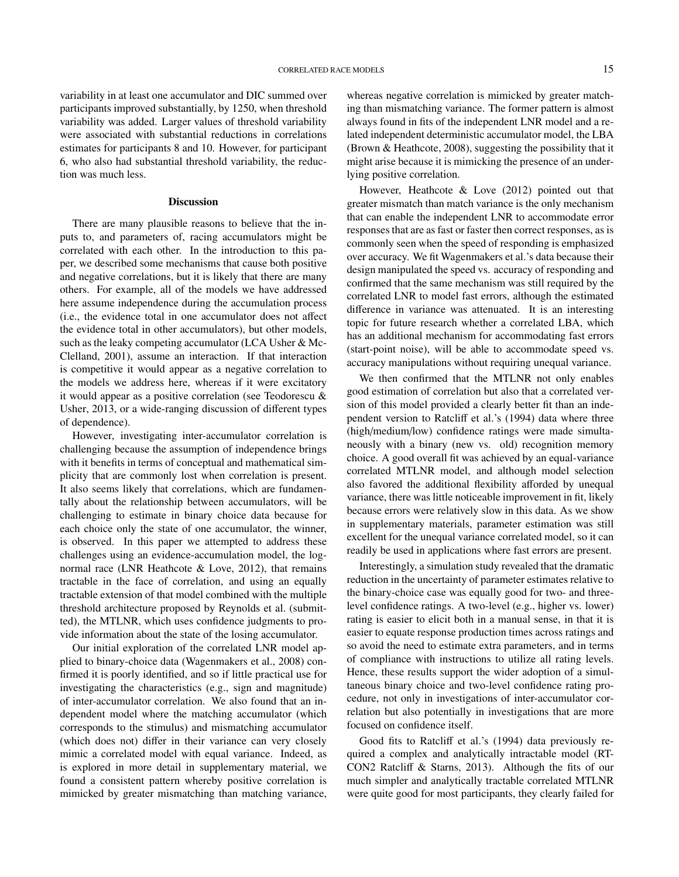variability in at least one accumulator and DIC summed over participants improved substantially, by 1250, when threshold variability was added. Larger values of threshold variability were associated with substantial reductions in correlations estimates for participants 8 and 10. However, for participant 6, who also had substantial threshold variability, the reduction was much less.

#### **Discussion**

There are many plausible reasons to believe that the inputs to, and parameters of, racing accumulators might be correlated with each other. In the introduction to this paper, we described some mechanisms that cause both positive and negative correlations, but it is likely that there are many others. For example, all of the models we have addressed here assume independence during the accumulation process (i.e., the evidence total in one accumulator does not affect the evidence total in other accumulators), but other models, such as the leaky competing accumulator (LCA Usher & Mc-Clelland, 2001), assume an interaction. If that interaction is competitive it would appear as a negative correlation to the models we address here, whereas if it were excitatory it would appear as a positive correlation (see Teodorescu & Usher, 2013, or a wide-ranging discussion of different types of dependence).

However, investigating inter-accumulator correlation is challenging because the assumption of independence brings with it benefits in terms of conceptual and mathematical simplicity that are commonly lost when correlation is present. It also seems likely that correlations, which are fundamentally about the relationship between accumulators, will be challenging to estimate in binary choice data because for each choice only the state of one accumulator, the winner, is observed. In this paper we attempted to address these challenges using an evidence-accumulation model, the lognormal race (LNR Heathcote & Love, 2012), that remains tractable in the face of correlation, and using an equally tractable extension of that model combined with the multiple threshold architecture proposed by Reynolds et al. (submitted), the MTLNR, which uses confidence judgments to provide information about the state of the losing accumulator.

Our initial exploration of the correlated LNR model applied to binary-choice data (Wagenmakers et al., 2008) confirmed it is poorly identified, and so if little practical use for investigating the characteristics (e.g., sign and magnitude) of inter-accumulator correlation. We also found that an independent model where the matching accumulator (which corresponds to the stimulus) and mismatching accumulator (which does not) differ in their variance can very closely mimic a correlated model with equal variance. Indeed, as is explored in more detail in supplementary material, we found a consistent pattern whereby positive correlation is mimicked by greater mismatching than matching variance,

whereas negative correlation is mimicked by greater matching than mismatching variance. The former pattern is almost always found in fits of the independent LNR model and a related independent deterministic accumulator model, the LBA (Brown & Heathcote, 2008), suggesting the possibility that it might arise because it is mimicking the presence of an underlying positive correlation.

However, Heathcote & Love (2012) pointed out that greater mismatch than match variance is the only mechanism that can enable the independent LNR to accommodate error responses that are as fast or faster then correct responses, as is commonly seen when the speed of responding is emphasized over accuracy. We fit Wagenmakers et al.'s data because their design manipulated the speed vs. accuracy of responding and confirmed that the same mechanism was still required by the correlated LNR to model fast errors, although the estimated difference in variance was attenuated. It is an interesting topic for future research whether a correlated LBA, which has an additional mechanism for accommodating fast errors (start-point noise), will be able to accommodate speed vs. accuracy manipulations without requiring unequal variance.

We then confirmed that the MTLNR not only enables good estimation of correlation but also that a correlated version of this model provided a clearly better fit than an independent version to Ratcliff et al.'s (1994) data where three (high/medium/low) confidence ratings were made simultaneously with a binary (new vs. old) recognition memory choice. A good overall fit was achieved by an equal-variance correlated MTLNR model, and although model selection also favored the additional flexibility afforded by unequal variance, there was little noticeable improvement in fit, likely because errors were relatively slow in this data. As we show in supplementary materials, parameter estimation was still excellent for the unequal variance correlated model, so it can readily be used in applications where fast errors are present.

Interestingly, a simulation study revealed that the dramatic reduction in the uncertainty of parameter estimates relative to the binary-choice case was equally good for two- and threelevel confidence ratings. A two-level (e.g., higher vs. lower) rating is easier to elicit both in a manual sense, in that it is easier to equate response production times across ratings and so avoid the need to estimate extra parameters, and in terms of compliance with instructions to utilize all rating levels. Hence, these results support the wider adoption of a simultaneous binary choice and two-level confidence rating procedure, not only in investigations of inter-accumulator correlation but also potentially in investigations that are more focused on confidence itself.

Good fits to Ratcliff et al.'s (1994) data previously required a complex and analytically intractable model (RT-CON2 Ratcliff & Starns, 2013). Although the fits of our much simpler and analytically tractable correlated MTLNR were quite good for most participants, they clearly failed for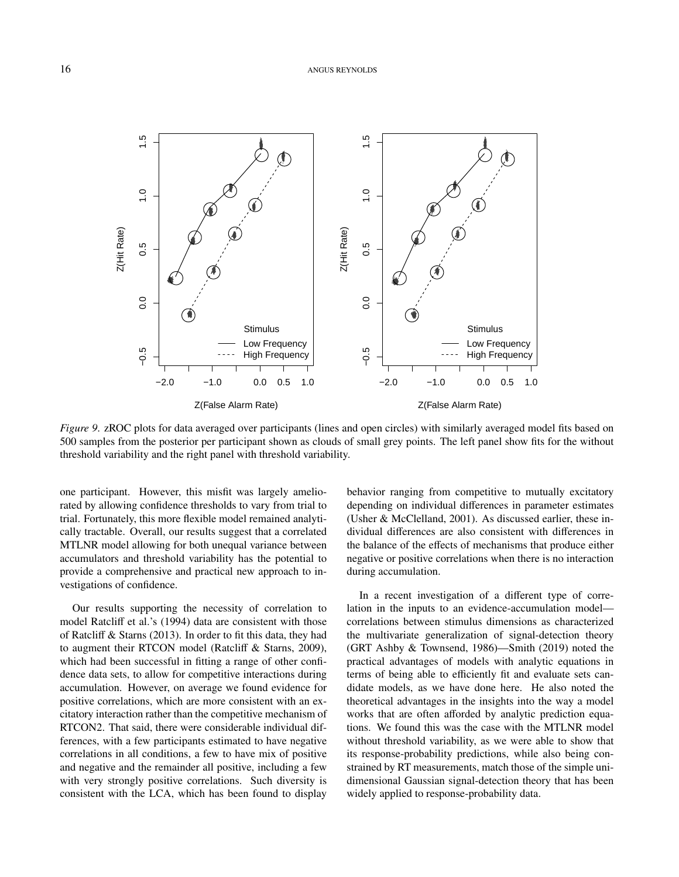

*Figure 9.* zROC plots for data averaged over participants (lines and open circles) with similarly averaged model fits based on 500 samples from the posterior per participant shown as clouds of small grey points. The left panel show fits for the without threshold variability and the right panel with threshold variability.

one participant. However, this misfit was largely ameliorated by allowing confidence thresholds to vary from trial to trial. Fortunately, this more flexible model remained analytically tractable. Overall, our results suggest that a correlated MTLNR model allowing for both unequal variance between accumulators and threshold variability has the potential to provide a comprehensive and practical new approach to investigations of confidence.

Our results supporting the necessity of correlation to model Ratcliff et al.'s (1994) data are consistent with those of Ratcliff & Starns (2013). In order to fit this data, they had to augment their RTCON model (Ratcliff & Starns, 2009), which had been successful in fitting a range of other confidence data sets, to allow for competitive interactions during accumulation. However, on average we found evidence for positive correlations, which are more consistent with an excitatory interaction rather than the competitive mechanism of RTCON2. That said, there were considerable individual differences, with a few participants estimated to have negative correlations in all conditions, a few to have mix of positive and negative and the remainder all positive, including a few with very strongly positive correlations. Such diversity is consistent with the LCA, which has been found to display

behavior ranging from competitive to mutually excitatory depending on individual differences in parameter estimates (Usher & McClelland, 2001). As discussed earlier, these individual differences are also consistent with differences in the balance of the effects of mechanisms that produce either negative or positive correlations when there is no interaction during accumulation.

In a recent investigation of a different type of correlation in the inputs to an evidence-accumulation model correlations between stimulus dimensions as characterized the multivariate generalization of signal-detection theory (GRT Ashby & Townsend, 1986)—Smith (2019) noted the practical advantages of models with analytic equations in terms of being able to efficiently fit and evaluate sets candidate models, as we have done here. He also noted the theoretical advantages in the insights into the way a model works that are often afforded by analytic prediction equations. We found this was the case with the MTLNR model without threshold variability, as we were able to show that its response-probability predictions, while also being constrained by RT measurements, match those of the simple unidimensional Gaussian signal-detection theory that has been widely applied to response-probability data.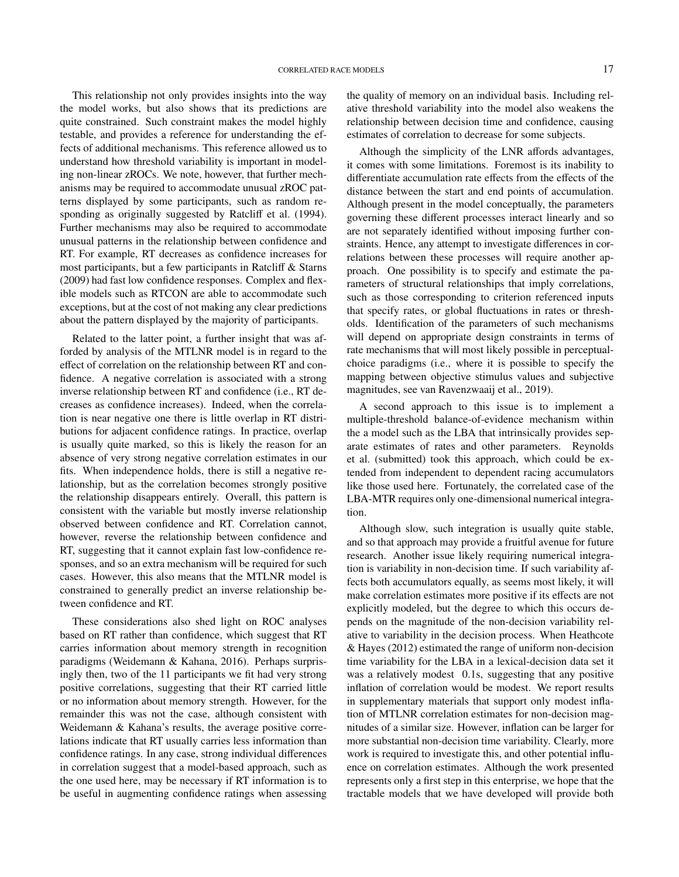This relationship not only provides insights into the way the model works, but also shows that its predictions are quite constrained. Such constraint makes the model highly testable, and provides a reference for understanding the effects of additional mechanisms. This reference allowed us to understand how threshold variability is important in modeling non-linear zROCs. We note, however, that further mechanisms may be required to accommodate unusual zROC patterns displayed by some participants, such as random responding as originally suggested by Ratcliff et al. (1994). Further mechanisms may also be required to accommodate unusual patterns in the relationship between confidence and RT. For example, RT decreases as confidence increases for most participants, but a few participants in Ratcliff & Starns (2009) had fast low confidence responses. Complex and flexible models such as RTCON are able to accommodate such exceptions, but at the cost of not making any clear predictions about the pattern displayed by the majority of participants.

Related to the latter point, a further insight that was afforded by analysis of the MTLNR model is in regard to the effect of correlation on the relationship between RT and confidence. A negative correlation is associated with a strong inverse relationship between RT and confidence (i.e., RT decreases as confidence increases). Indeed, when the correlation is near negative one there is little overlap in RT distributions for adjacent confidence ratings. In practice, overlap is usually quite marked, so this is likely the reason for an absence of very strong negative correlation estimates in our fits. When independence holds, there is still a negative relationship, but as the correlation becomes strongly positive the relationship disappears entirely. Overall, this pattern is consistent with the variable but mostly inverse relationship observed between confidence and RT. Correlation cannot, however, reverse the relationship between confidence and RT, suggesting that it cannot explain fast low-confidence responses, and so an extra mechanism will be required for such cases. However, this also means that the MTLNR model is constrained to generally predict an inverse relationship between confidence and RT.

These considerations also shed light on ROC analyses based on RT rather than confidence, which suggest that RT carries information about memory strength in recognition paradigms (Weidemann & Kahana, 2016). Perhaps surprisingly then, two of the 11 participants we fit had very strong positive correlations, suggesting that their RT carried little or no information about memory strength. However, for the remainder this was not the case, although consistent with Weidemann & Kahana's results, the average positive correlations indicate that RT usually carries less information than confidence ratings. In any case, strong individual differences in correlation suggest that a model-based approach, such as the one used here, may be necessary if RT information is to be useful in augmenting confidence ratings when assessing the quality of memory on an individual basis. Including relative threshold variability into the model also weakens the relationship between decision time and confidence, causing estimates of correlation to decrease for some subjects.

Although the simplicity of the LNR affords advantages, it comes with some limitations. Foremost is its inability to differentiate accumulation rate effects from the effects of the distance between the start and end points of accumulation. Although present in the model conceptually, the parameters governing these different processes interact linearly and so are not separately identified without imposing further constraints. Hence, any attempt to investigate differences in correlations between these processes will require another approach. One possibility is to specify and estimate the parameters of structural relationships that imply correlations, such as those corresponding to criterion referenced inputs that specify rates, or global fluctuations in rates or thresholds. Identification of the parameters of such mechanisms will depend on appropriate design constraints in terms of rate mechanisms that will most likely possible in perceptualchoice paradigms (i.e., where it is possible to specify the mapping between objective stimulus values and subjective magnitudes, see van Ravenzwaaij et al., 2019).

A second approach to this issue is to implement a multiple-threshold balance-of-evidence mechanism within the a model such as the LBA that intrinsically provides separate estimates of rates and other parameters. Reynolds et al. (submitted) took this approach, which could be extended from independent to dependent racing accumulators like those used here. Fortunately, the correlated case of the LBA-MTR requires only one-dimensional numerical integration.

Although slow, such integration is usually quite stable, and so that approach may provide a fruitful avenue for future research. Another issue likely requiring numerical integration is variability in non-decision time. If such variability affects both accumulators equally, as seems most likely, it will make correlation estimates more positive if its effects are not explicitly modeled, but the degree to which this occurs depends on the magnitude of the non-decision variability relative to variability in the decision process. When Heathcote & Hayes (2012) estimated the range of uniform non-decision time variability for the LBA in a lexical-decision data set it was a relatively modest 0.1s, suggesting that any positive inflation of correlation would be modest. We report results in supplementary materials that support only modest inflation of MTLNR correlation estimates for non-decision magnitudes of a similar size. However, inflation can be larger for more substantial non-decision time variability. Clearly, more work is required to investigate this, and other potential influence on correlation estimates. Although the work presented represents only a first step in this enterprise, we hope that the tractable models that we have developed will provide both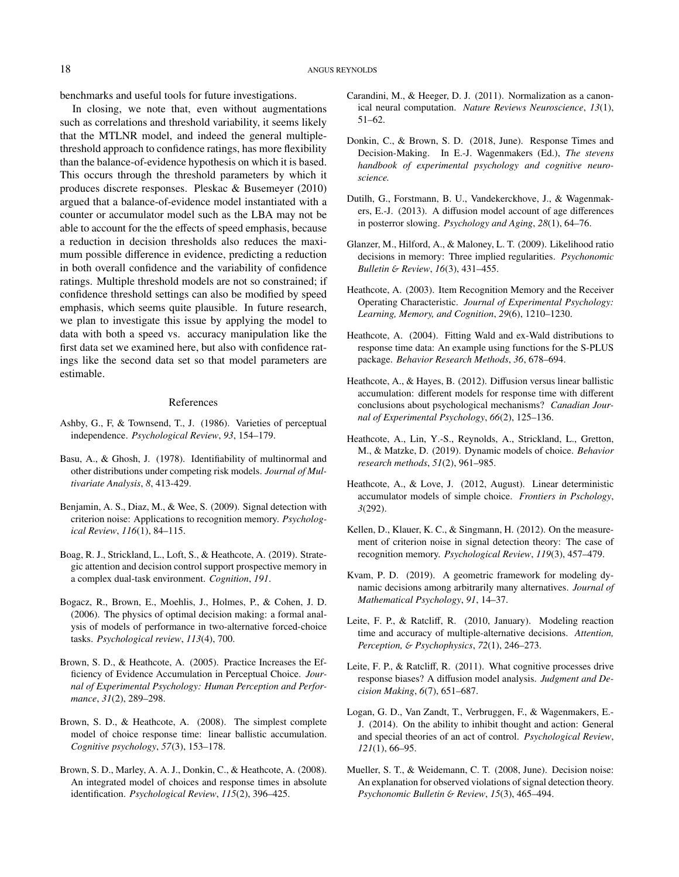benchmarks and useful tools for future investigations.

In closing, we note that, even without augmentations such as correlations and threshold variability, it seems likely that the MTLNR model, and indeed the general multiplethreshold approach to confidence ratings, has more flexibility than the balance-of-evidence hypothesis on which it is based. This occurs through the threshold parameters by which it produces discrete responses. Pleskac & Busemeyer (2010) argued that a balance-of-evidence model instantiated with a counter or accumulator model such as the LBA may not be able to account for the the effects of speed emphasis, because a reduction in decision thresholds also reduces the maximum possible difference in evidence, predicting a reduction in both overall confidence and the variability of confidence ratings. Multiple threshold models are not so constrained; if confidence threshold settings can also be modified by speed emphasis, which seems quite plausible. In future research, we plan to investigate this issue by applying the model to data with both a speed vs. accuracy manipulation like the first data set we examined here, but also with confidence ratings like the second data set so that model parameters are estimable.

#### References

- Ashby, G., F, & Townsend, T., J. (1986). Varieties of perceptual independence. *Psychological Review*, *93*, 154–179.
- Basu, A., & Ghosh, J. (1978). Identifiability of multinormal and other distributions under competing risk models. *Journal of Multivariate Analysis*, *8*, 413-429.
- Benjamin, A. S., Diaz, M., & Wee, S. (2009). Signal detection with criterion noise: Applications to recognition memory. *Psychological Review*, *116*(1), 84–115.
- Boag, R. J., Strickland, L., Loft, S., & Heathcote, A. (2019). Strategic attention and decision control support prospective memory in a complex dual-task environment. *Cognition*, *191*.
- Bogacz, R., Brown, E., Moehlis, J., Holmes, P., & Cohen, J. D. (2006). The physics of optimal decision making: a formal analysis of models of performance in two-alternative forced-choice tasks. *Psychological review*, *113*(4), 700.
- Brown, S. D., & Heathcote, A. (2005). Practice Increases the Efficiency of Evidence Accumulation in Perceptual Choice. *Journal of Experimental Psychology: Human Perception and Performance*, *31*(2), 289–298.
- Brown, S. D., & Heathcote, A. (2008). The simplest complete model of choice response time: linear ballistic accumulation. *Cognitive psychology*, *57*(3), 153–178.
- Brown, S. D., Marley, A. A. J., Donkin, C., & Heathcote, A. (2008). An integrated model of choices and response times in absolute identification. *Psychological Review*, *115*(2), 396–425.
- Carandini, M., & Heeger, D. J. (2011). Normalization as a canonical neural computation. *Nature Reviews Neuroscience*, *13*(1), 51–62.
- Donkin, C., & Brown, S. D. (2018, June). Response Times and Decision-Making. In E.-J. Wagenmakers (Ed.), *The stevens handbook of experimental psychology and cognitive neuroscience.*
- Dutilh, G., Forstmann, B. U., Vandekerckhove, J., & Wagenmakers, E.-J. (2013). A diffusion model account of age differences in posterror slowing. *Psychology and Aging*, *28*(1), 64–76.
- Glanzer, M., Hilford, A., & Maloney, L. T. (2009). Likelihood ratio decisions in memory: Three implied regularities. *Psychonomic Bulletin* & *Review*, *16*(3), 431–455.
- Heathcote, A. (2003). Item Recognition Memory and the Receiver Operating Characteristic. *Journal of Experimental Psychology: Learning, Memory, and Cognition*, *29*(6), 1210–1230.
- Heathcote, A. (2004). Fitting Wald and ex-Wald distributions to response time data: An example using functions for the S-PLUS package. *Behavior Research Methods*, *36*, 678–694.
- Heathcote, A., & Hayes, B. (2012). Diffusion versus linear ballistic accumulation: different models for response time with different conclusions about psychological mechanisms? *Canadian Journal of Experimental Psychology*, *66*(2), 125–136.
- Heathcote, A., Lin, Y.-S., Reynolds, A., Strickland, L., Gretton, M., & Matzke, D. (2019). Dynamic models of choice. *Behavior research methods*, *51*(2), 961–985.
- Heathcote, A., & Love, J. (2012, August). Linear deterministic accumulator models of simple choice. *Frontiers in Pschology*, *3*(292).
- Kellen, D., Klauer, K. C., & Singmann, H. (2012). On the measurement of criterion noise in signal detection theory: The case of recognition memory. *Psychological Review*, *119*(3), 457–479.
- Kvam, P. D. (2019). A geometric framework for modeling dynamic decisions among arbitrarily many alternatives. *Journal of Mathematical Psychology*, *91*, 14–37.
- Leite, F. P., & Ratcliff, R. (2010, January). Modeling reaction time and accuracy of multiple-alternative decisions. *Attention, Perception,* & *Psychophysics*, *72*(1), 246–273.
- Leite, F. P., & Ratcliff, R. (2011). What cognitive processes drive response biases? A diffusion model analysis. *Judgment and Decision Making*, *6*(7), 651–687.
- Logan, G. D., Van Zandt, T., Verbruggen, F., & Wagenmakers, E.- J. (2014). On the ability to inhibit thought and action: General and special theories of an act of control. *Psychological Review*, *121*(1), 66–95.
- Mueller, S. T., & Weidemann, C. T. (2008, June). Decision noise: An explanation for observed violations of signal detection theory. *Psychonomic Bulletin* & *Review*, *15*(3), 465–494.